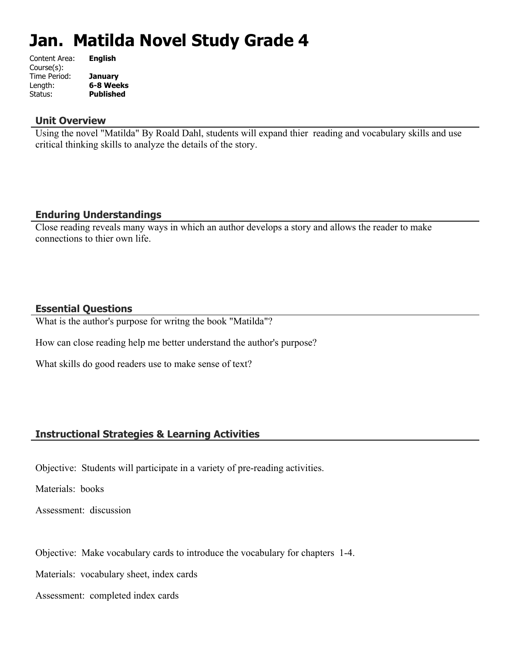# **Jan. Matilda Novel Study Grade 4**

| <b>English</b>   |
|------------------|
|                  |
| <b>January</b>   |
| 6-8 Weeks        |
| <b>Published</b> |
|                  |

#### **Unit Overview**

Using the novel "Matilda" By Roald Dahl, students will expand thier reading and vocabulary skills and use critical thinking skills to analyze the details of the story.

## **Enduring Understandings**

Close reading reveals many ways in which an author develops a story and allows the reader to make connections to thier own life.

### **Essential Questions**

What is the author's purpose for writng the book "Matilda"?

How can close reading help me better understand the author's purpose?

What skills do good readers use to make sense of text?

#### **Instructional Strategies & Learning Activities**

Objective: Students will participate in a variety of pre-reading activities.

Materials: books

Assessment: discussion

Objective: Make vocabulary cards to introduce the vocabulary for chapters 1-4.

Materials: vocabulary sheet, index cards

Assessment: completed index cards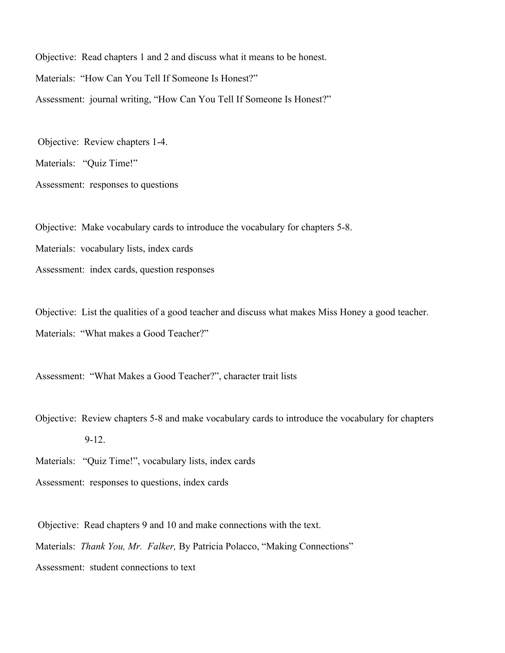Objective: Read chapters 1 and 2 and discuss what it means to be honest. Materials: "How Can You Tell If Someone Is Honest?" Assessment: journal writing, "How Can You Tell If Someone Is Honest?"

Objective: Review chapters 1-4.

Materials: "Quiz Time!"

Assessment: responses to questions

Objective: Make vocabulary cards to introduce the vocabulary for chapters 5-8.

Materials: vocabulary lists, index cards

Assessment: index cards, question responses

Objective: List the qualities of a good teacher and discuss what makes Miss Honey a good teacher. Materials: "What makes a Good Teacher?"

Assessment: "What Makes a Good Teacher?", character trait lists

Objective: Review chapters 5-8 and make vocabulary cards to introduce the vocabulary for chapters 9-12.

Materials: "Quiz Time!", vocabulary lists, index cards

Assessment: responses to questions, index cards

 Objective: Read chapters 9 and 10 and make connections with the text. Materials: *Thank You, Mr. Falker,* By Patricia Polacco, "Making Connections" Assessment: student connections to text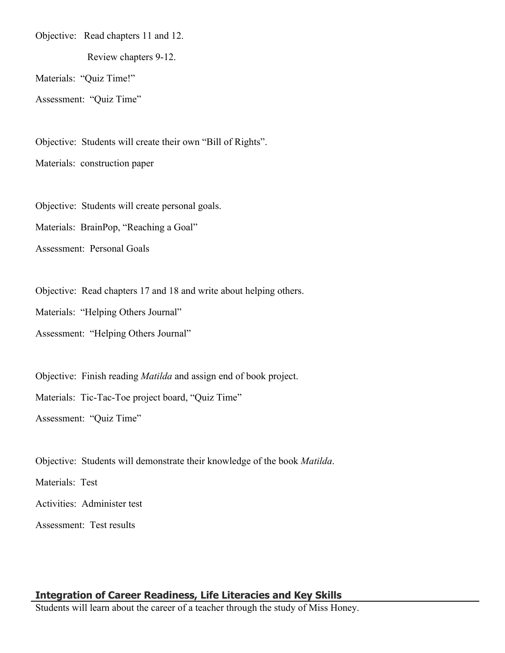Objective: Read chapters 11 and 12.

Review chapters 9-12.

Materials: "Quiz Time!"

Assessment: "Quiz Time"

Objective: Students will create their own "Bill of Rights".

Materials: construction paper

Objective: Students will create personal goals.

Materials: BrainPop, "Reaching a Goal"

Assessment: Personal Goals

Objective: Read chapters 17 and 18 and write about helping others.

Materials: "Helping Others Journal"

Assessment: "Helping Others Journal"

Objective: Finish reading *Matilda* and assign end of book project.

Materials: Tic-Tac-Toe project board, "Quiz Time"

Assessment: "Quiz Time"

Objective: Students will demonstrate their knowledge of the book *Matilda*.

Materials: Test

Activities: Administer test

Assessment: Test results

# **Integration of Career Readiness, Life Literacies and Key Skills**

Students will learn about the career of a teacher through the study of Miss Honey.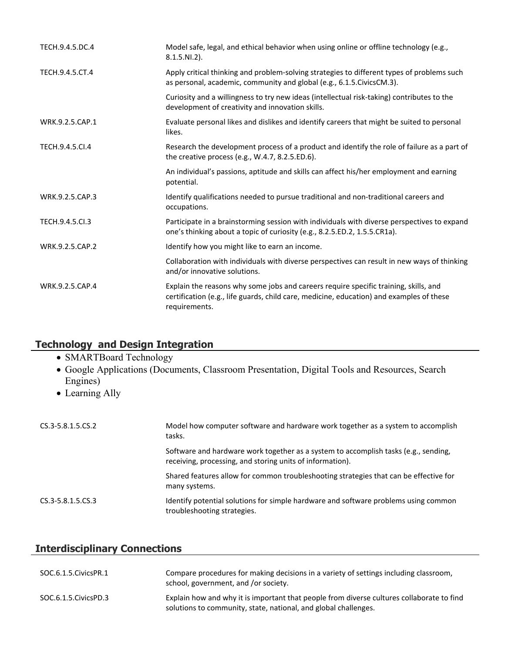| TECH.9.4.5.DC.4 | Model safe, legal, and ethical behavior when using online or offline technology (e.g.,<br>$8.1.5.NI.2$ ).                                                                                         |
|-----------------|---------------------------------------------------------------------------------------------------------------------------------------------------------------------------------------------------|
| TECH.9.4.5.CT.4 | Apply critical thinking and problem-solving strategies to different types of problems such<br>as personal, academic, community and global (e.g., 6.1.5. Civics CM.3).                             |
|                 | Curiosity and a willingness to try new ideas (intellectual risk-taking) contributes to the<br>development of creativity and innovation skills.                                                    |
| WRK.9.2.5.CAP.1 | Evaluate personal likes and dislikes and identify careers that might be suited to personal<br>likes.                                                                                              |
| TECH.9.4.5.CI.4 | Research the development process of a product and identify the role of failure as a part of<br>the creative process (e.g., W.4.7, 8.2.5.ED.6).                                                    |
|                 | An individual's passions, aptitude and skills can affect his/her employment and earning<br>potential.                                                                                             |
| WRK.9.2.5.CAP.3 | Identify qualifications needed to pursue traditional and non-traditional careers and<br>occupations.                                                                                              |
| TECH.9.4.5.Cl.3 | Participate in a brainstorming session with individuals with diverse perspectives to expand<br>one's thinking about a topic of curiosity (e.g., 8.2.5.ED.2, 1.5.5.CR1a).                          |
| WRK.9.2.5.CAP.2 | Identify how you might like to earn an income.                                                                                                                                                    |
|                 | Collaboration with individuals with diverse perspectives can result in new ways of thinking<br>and/or innovative solutions.                                                                       |
| WRK.9.2.5.CAP.4 | Explain the reasons why some jobs and careers require specific training, skills, and<br>certification (e.g., life guards, child care, medicine, education) and examples of these<br>requirements. |

# **Technology and Design Integration**

- SMARTBoard Technology
- Google Applications (Documents, Classroom Presentation, Digital Tools and Resources, Search Engines)
- Learning Ally

| CS.3-5.8.1.5.CS.2 | Model how computer software and hardware work together as a system to accomplish<br>tasks.                                                       |
|-------------------|--------------------------------------------------------------------------------------------------------------------------------------------------|
|                   | Software and hardware work together as a system to accomplish tasks (e.g., sending,<br>receiving, processing, and storing units of information). |
|                   | Shared features allow for common troubleshooting strategies that can be effective for<br>many systems.                                           |
| CS.3-5.8.1.5.CS.3 | Identify potential solutions for simple hardware and software problems using common<br>troubleshooting strategies.                               |

# **Interdisciplinary Connections**

| SOC.6.1.5.CivicsPR.1 | Compare procedures for making decisions in a variety of settings including classroom,<br>school, government, and /or society.                                |
|----------------------|--------------------------------------------------------------------------------------------------------------------------------------------------------------|
| SOC.6.1.5.CivicsPD.3 | Explain how and why it is important that people from diverse cultures collaborate to find<br>solutions to community, state, national, and global challenges. |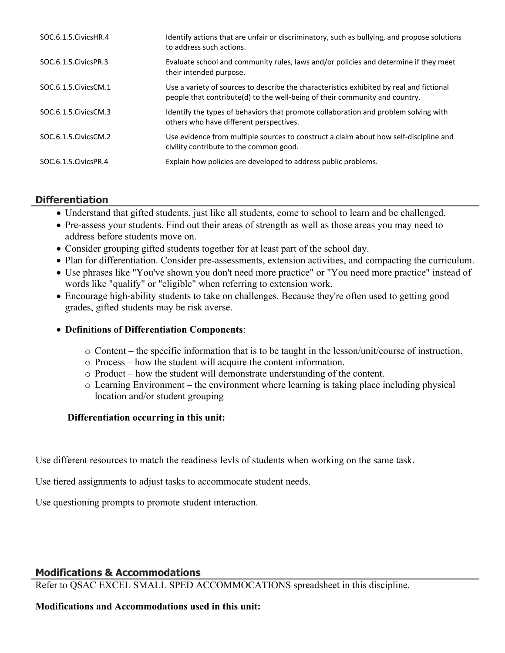| SOC.6.1.5. Civics HR.4 | Identify actions that are unfair or discriminatory, such as bullying, and propose solutions<br>to address such actions.                                                 |
|------------------------|-------------------------------------------------------------------------------------------------------------------------------------------------------------------------|
| SOC.6.1.5. Civics PR.3 | Evaluate school and community rules, laws and/or policies and determine if they meet<br>their intended purpose.                                                         |
| SOC.6.1.5. Civics CM.1 | Use a variety of sources to describe the characteristics exhibited by real and fictional<br>people that contribute(d) to the well-being of their community and country. |
| SOC.6.1.5. Civics CM.3 | Identify the types of behaviors that promote collaboration and problem solving with<br>others who have different perspectives.                                          |
| SOC.6.1.5. Civics CM.2 | Use evidence from multiple sources to construct a claim about how self-discipline and<br>civility contribute to the common good.                                        |
| SOC.6.1.5. Civics PR.4 | Explain how policies are developed to address public problems.                                                                                                          |

# **Differentiation**

- Understand that gifted students, just like all students, come to school to learn and be challenged.
- Pre-assess your students. Find out their areas of strength as well as those areas you may need to address before students move on.
- Consider grouping gifted students together for at least part of the school day.
- Plan for differentiation. Consider pre-assessments, extension activities, and compacting the curriculum.
- Use phrases like "You've shown you don't need more practice" or "You need more practice" instead of words like "qualify" or "eligible" when referring to extension work.
- Encourage high-ability students to take on challenges. Because they're often used to getting good grades, gifted students may be risk averse.

#### **Definitions of Differentiation Components**:

- o Content the specific information that is to be taught in the lesson/unit/course of instruction.
- o Process how the student will acquire the content information.
- o Product how the student will demonstrate understanding of the content.
- o Learning Environment the environment where learning is taking place including physical location and/or student grouping

#### **Differentiation occurring in this unit:**

Use different resources to match the readiness levls of students when working on the same task.

Use tiered assignments to adjust tasks to accommocate student needs.

Use questioning prompts to promote student interaction.

## **Modifications & Accommodations**

Refer to QSAC EXCEL SMALL SPED ACCOMMOCATIONS spreadsheet in this discipline.

#### **Modifications and Accommodations used in this unit:**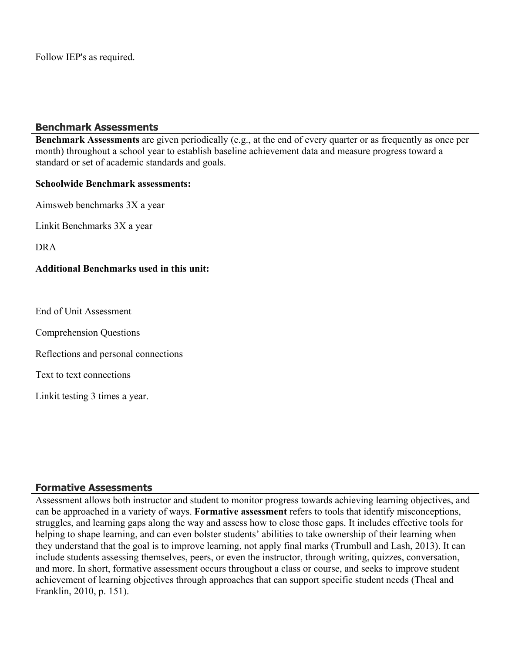Follow IEP's as required.

#### **Benchmark Assessments**

**Benchmark Assessments** are given periodically (e.g., at the end of every quarter or as frequently as once per month) throughout a school year to establish baseline achievement data and measure progress toward a standard or set of academic standards and goals.

#### **Schoolwide Benchmark assessments:**

Aimsweb benchmarks 3X a year

Linkit Benchmarks 3X a year

DRA

#### **Additional Benchmarks used in this unit:**

End of Unit Assessment

Comprehension Questions

Reflections and personal connections

Text to text connections

Linkit testing 3 times a year.

#### **Formative Assessments**

Assessment allows both instructor and student to monitor progress towards achieving learning objectives, and can be approached in a variety of ways. **Formative assessment** refers to tools that identify misconceptions, struggles, and learning gaps along the way and assess how to close those gaps. It includes effective tools for helping to shape learning, and can even bolster students' abilities to take ownership of their learning when they understand that the goal is to improve learning, not apply final marks (Trumbull and Lash, 2013). It can include students assessing themselves, peers, or even the instructor, through writing, quizzes, conversation, and more. In short, formative assessment occurs throughout a class or course, and seeks to improve student achievement of learning objectives through approaches that can support specific student needs (Theal and Franklin, 2010, p. 151).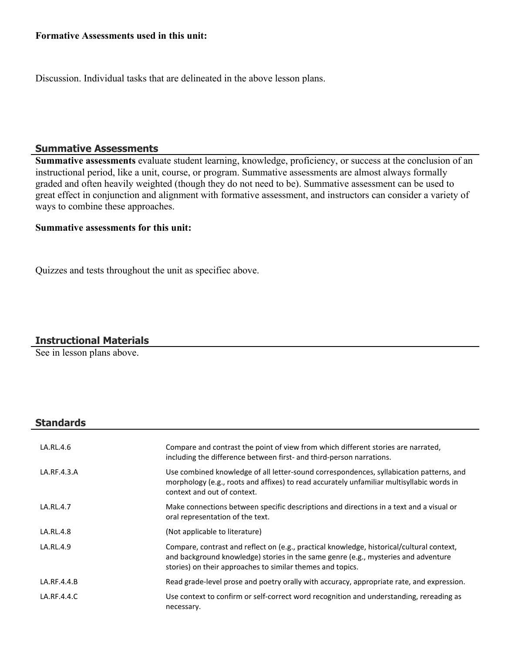#### **Formative Assessments used in this unit:**

Discussion. Individual tasks that are delineated in the above lesson plans.

#### **Summative Assessments**

**Summative assessments** evaluate student learning, knowledge, proficiency, or success at the conclusion of an instructional period, like a unit, course, or program. Summative assessments are almost always formally graded and often heavily weighted (though they do not need to be). Summative assessment can be used to great effect in conjunction and alignment with formative assessment, and instructors can consider a variety of ways to combine these approaches.

#### **Summative assessments for this unit:**

Quizzes and tests throughout the unit as specifiec above.

#### **Instructional Materials**

See in lesson plans above.

#### **Standards**

| LA.RL.4.6   | Compare and contrast the point of view from which different stories are narrated,<br>including the difference between first- and third-person narrations.                                                                                     |
|-------------|-----------------------------------------------------------------------------------------------------------------------------------------------------------------------------------------------------------------------------------------------|
| LA.RF.4.3.A | Use combined knowledge of all letter-sound correspondences, syllabication patterns, and<br>morphology (e.g., roots and affixes) to read accurately unfamiliar multisyllabic words in<br>context and out of context.                           |
| LA.RL.4.7   | Make connections between specific descriptions and directions in a text and a visual or<br>oral representation of the text.                                                                                                                   |
| LA.RL.4.8   | (Not applicable to literature)                                                                                                                                                                                                                |
| LA.RL.4.9   | Compare, contrast and reflect on (e.g., practical knowledge, historical/cultural context,<br>and background knowledge) stories in the same genre (e.g., mysteries and adventure<br>stories) on their approaches to similar themes and topics. |
| LA.RF.4.4.B | Read grade-level prose and poetry orally with accuracy, appropriate rate, and expression.                                                                                                                                                     |
| LA.RF.4.4.C | Use context to confirm or self-correct word recognition and understanding, rereading as<br>necessary.                                                                                                                                         |